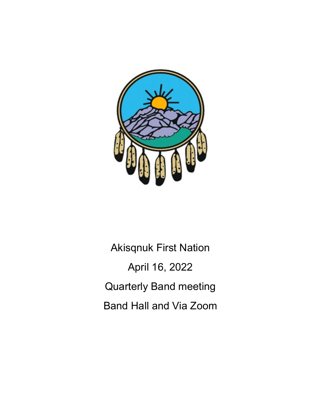

Akisqnuk First Nation April 16, 2022 Quarterly Band meeting Band Hall and Via Zoom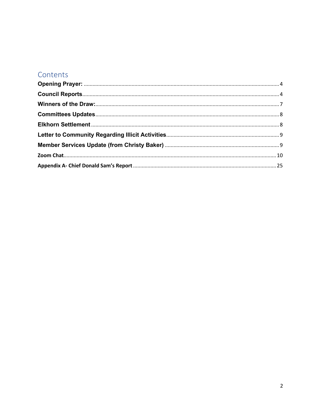# Contents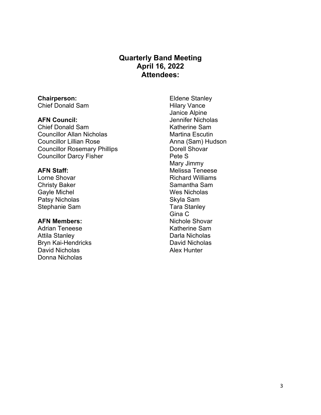## **Quarterly Band Meeting April 16, 2022 Attendees:**

# **Chairperson:**

Chief Donald Sam

### **AFN Council:**

Chief Donald Sam Councillor Allan Nicholas Councillor Lillian Rose Councillor Rosemary Phillips Councillor Darcy Fisher

### **AFN Staff:**

Lorne Shovar Christy Baker Gayle Michel Patsy Nicholas Stephanie Sam

### **AFN Members:**

Adrian Teneese Attila Stanley Bryn Kai-Hendricks David Nicholas Donna Nicholas

Eldene Stanley Hilary Vance Janice Alpine Jennifer Nicholas Katherine Sam Martina Escutin Anna (Sam) Hudson Dorell Shovar Pete S Mary Jimmy Melissa Teneese Richard Williams Samantha Sam Wes Nicholas Skyla Sam Tara Stanley Gina C Nichole Shovar Katherine Sam Darla Nicholas David Nicholas Alex Hunter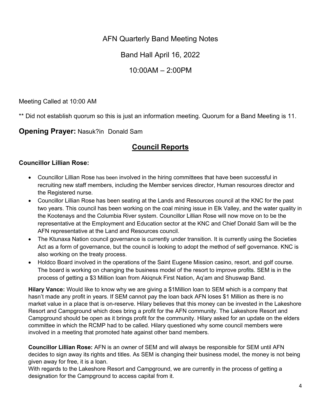AFN Quarterly Band Meeting Notes

Band Hall April 16, 2022

10:00AM – 2:00PM

Meeting Called at 10:00 AM

\*\* Did not establish quorum so this is just an information meeting. Quorum for a Band Meeting is 11.

<span id="page-3-1"></span><span id="page-3-0"></span>**Opening Prayer:** Nasuk?in Donald Sam

# **Council Reports**

### **Councillor Lillian Rose:**

- Councillor Lillian Rose has been involved in the hiring committees that have been successful in recruiting new staff members, including the Member services director, Human resources director and the Registered nurse.
- Councillor Lillian Rose has been seating at the Lands and Resources council at the KNC for the past two years. This council has been working on the coal mining issue in Elk Valley, and the water quality in the Kootenays and the Columbia River system. Councillor Lillian Rose will now move on to be the representative at the Employment and Education sector at the KNC and Chief Donald Sam will be the AFN representative at the Land and Resources council.
- The Ktunaxa Nation council governance is currently under transition. It is currently using the Societies Act as a form of governance, but the council is looking to adopt the method of self governance. KNC is also working on the treaty process.
- Holdco Board involved in the operations of the Saint Eugene Mission casino, resort, and golf course. The board is working on changing the business model of the resort to improve profits. SEM is in the process of getting a \$3 Million loan from Akiqnuk First Nation, Aq'am and Shuswap Band.

**Hilary Vance:** Would like to know why we are giving a \$1Million loan to SEM which is a company that hasn't made any profit in years. If SEM cannot pay the loan back AFN loses \$1 Million as there is no market value in a place that is on-reserve. Hilary believes that this money can be invested in the Lakeshore Resort and Campground which does bring a profit for the AFN community. The Lakeshore Resort and Campground should be open as it brings profit for the community. Hilary asked for an update on the elders committee in which the RCMP had to be called. Hilary questioned why some council members were involved in a meeting that promoted hate against other band members.

**Councillor Lillian Rose:** AFN is an owner of SEM and will always be responsible for SEM until AFN decides to sign away its rights and titles. As SEM is changing their business model, the money is not being given away for free, it is a loan.

With regards to the Lakeshore Resort and Campground, we are currently in the process of getting a designation for the Campground to access capital from it.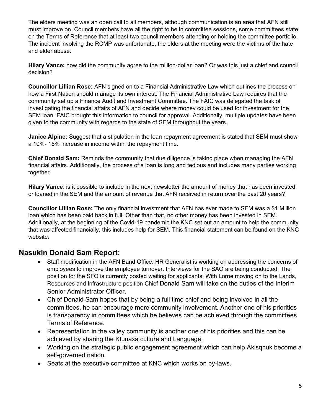The elders meeting was an open call to all members, although communication is an area that AFN still must improve on. Council members have all the right to be in committee sessions, some committees state on the Terms of Reference that at least two council members attending or holding the committee portfolio. The incident involving the RCMP was unfortunate, the elders at the meeting were the victims of the hate and elder abuse.

**Hilary Vance:** how did the community agree to the million-dollar loan? Or was this just a chief and council decision?

**Councillor Lillian Rose:** AFN signed on to a Financial Administrative Law which outlines the process on how a First Nation should manage its own interest. The Financial Administrative Law requires that the community set up a Finance Audit and Investment Committee. The FAIC was delegated the task of investigating the financial affairs of AFN and decide where money could be used for investment for the SEM loan. FAIC brought this information to council for approval. Additionally, multiple updates have been given to the community with regards to the state of SEM throughout the years.

**Janice Alpine:** Suggest that a stipulation in the loan repayment agreement is stated that SEM must show a 10%- 15% increase in income within the repayment time.

**Chief Donald Sam:** Reminds the community that due diligence is taking place when managing the AFN financial affairs. Additionally, the process of a loan is long and tedious and includes many parties working together.

**Hilary Vance**: is it possible to include in the next newsletter the amount of money that has been invested or loaned in the SEM and the amount of revenue that AFN received in return over the past 20 years?

**Councillor Lillian Rose:** The only financial investment that AFN has ever made to SEM was a \$1 Million loan which has been paid back in full. Other than that, no other money has been invested in SEM. Additionally, at the beginning of the Covid-19 pandemic the KNC set out an amount to help the community that was affected financially, this includes help for SEM. This financial statement can be found on the KNC website.

## **Nasukin Donald Sam Report:**

- Staff modification in the AFN Band Office: HR Generalist is working on addressing the concerns of employees to improve the employee turnover. Interviews for the SAO are being conducted. The position for the SFO is currently posted waiting for applicants. With Lorne moving on to the Lands, Resources and Infrastructure position Chief Donald Sam will take on the duties of the Interim Senior Administrator Officer.
- Chief Donald Sam hopes that by being a full time chief and being involved in all the committees, he can encourage more community involvement. Another one of his priorities is transparency in committees which he believes can be achieved through the committees Terms of Reference.
- Representation in the valley community is another one of his priorities and this can be achieved by sharing the Ktunaxa culture and Language.
- Working on the strategic public engagement agreement which can help Akisqnuk become a self-governed nation.
- Seats at the executive committee at KNC which works on by-laws.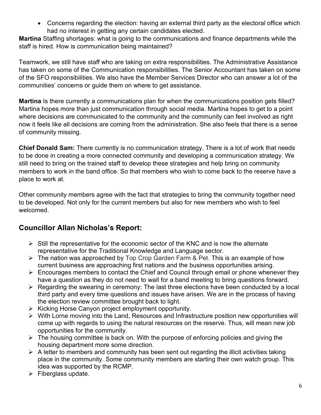• Concerns regarding the election: having an external third party as the electoral office which had no interest in getting any certain candidates elected.

**Martina** Staffing shortages: what is going to the communications and finance departments while the staff is hired. How is communication being maintained?

Teamwork, we still have staff who are taking on extra responsibilities. The Administrative Assistance has taken on some of the Communication responsibilities. The Senior Accountant has taken on some of the SFO responsibilities. We also have the Member Services Director who can answer a lot of the communities' concerns or guide them on where to get assistance.

**Martina** Is there currently a communications plan for when the communications position gets filled? Martina hopes more than just communication through social media. Martina hopes to get to a point where decisions are communicated to the community and the community can feel involved as right now it feels like all decisions are coming from the administration. She also feels that there is a sense of community missing.

**Chief Donald Sam:** There currently is no communication strategy. There is a lot of work that needs to be done in creating a more connected community and developing a communication strategy. We still need to bring on the trained staff to develop these strategies and help bring on community members to work in the band office. So that members who wish to come back to the reserve have a place to work at.

Other community members agree with the fact that strategies to bring the community together need to be developed. Not only for the current members but also for new members who wish to feel welcomed.

## **Councillor Allan Nicholas's Report:**

- $\triangleright$  Still the representative for the economic sector of the KNC and is now the alternate representative for the Traditional Knowledge and Language sector.
- $\triangleright$  The nation was approached by Top Crop Garden Farm & Pet. This is an example of how current business are approaching first nations and the business opportunities arising.
- $\triangleright$  Encourages members to contact the Chief and Council through email or phone whenever they have a question as they do not need to wait for a band meeting to bring questions forward.
- $\triangleright$  Regarding the swearing in ceremony: The last three elections have been conducted by a local third party and every time questions and issues have arisen. We are in the process of having the election review committee brought back to light.
- $\triangleright$  Kicking Horse Canyon project employment opportunity.
- With Lorne moving into the Land, Resources and Infrastructure position new opportunities will come up with regards to using the natural resources on the reserve. Thus, will mean new job opportunities for the community.
- $\triangleright$  The housing committee is back on. With the purpose of enforcing policies and giving the housing department more some direction.
- $\triangleright$  A letter to members and community has been sent out regarding the illicit activities taking place in the community. Some community members are starting their own watch group. This idea was supported by the RCMP.
- $\triangleright$  Fiberglass update.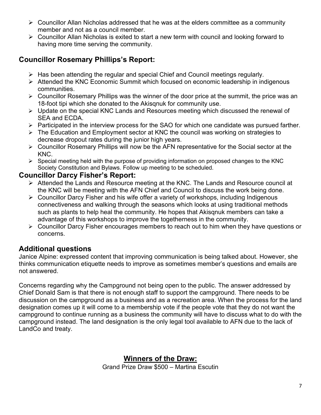- $\triangleright$  Councillor Allan Nicholas addressed that he was at the elders committee as a community member and not as a council member.
- Councillor Allan Nicholas is exited to start a new term with council and looking forward to having more time serving the community.

# **Councillor Rosemary Phillips's Report:**

- $\triangleright$  Has been attending the regular and special Chief and Council meetings regularly.
- Attended the KNC Economic Summit which focused on economic leadership in indigenous communities.
- $\triangleright$  Councillor Rosemary Phillips was the winner of the door price at the summit, the price was an 18-foot tipi which she donated to the Akisqnuk for community use.
- $\triangleright$  Update on the special KNC Lands and Resources meeting which discussed the renewal of SEA and ECDA.
- $\triangleright$  Participated in the interview process for the SAO for which one candidate was pursued farther.
- The Education and Employment sector at KNC the council was working on strategies to decrease dropout rates during the junior high years.
- Councillor Rosemary Phillips will now be the AFN representative for the Social sector at the KNC.
- $\triangleright$  Special meeting held with the purpose of providing information on proposed changes to the KNC Society Constitution and Bylaws. Follow up meeting to be scheduled.

# **Councillor Darcy Fisher's Report:**

- Attended the Lands and Resource meeting at the KNC. The Lands and Resource council at the KNC will be meeting with the AFN Chief and Council to discuss the work being done.
- $\triangleright$  Councillor Darcy Fisher and his wife offer a variety of workshops, including Indigenous connectiveness and walking through the seasons which looks at using traditional methods such as plants to help heal the community. He hopes that Akisqnuk members can take a advantage of this workshops to improve the togetherness in the community.
- Councillor Darcy Fisher encourages members to reach out to him when they have questions or concerns.

# **Additional questions**

Janice Alpine: expressed content that improving communication is being talked about. However, she thinks communication etiquette needs to improve as sometimes member's questions and emails are not answered.

<span id="page-6-0"></span>Concerns regarding why the Campground not being open to the public. The answer addressed by Chief Donald Sam is that there is not enough staff to support the campground. There needs to be discussion on the campground as a business and as a recreation area. When the process for the land designation comes up it will come to a membership vote if the people vote that they do not want the campground to continue running as a business the community will have to discuss what to do with the campground instead. The land designation is the only legal tool available to AFN due to the lack of LandCo and treaty.

# **Winners of the Draw:**

Grand Prize Draw \$500 – Martina Escutin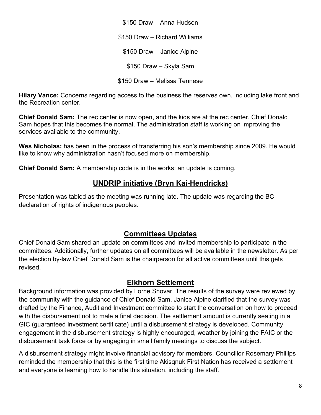\$150 Draw – Anna Hudson \$150 Draw – Richard Williams \$150 Draw – Janice Alpine \$150 Draw – Skyla Sam \$150 Draw – Melissa Tennese

**Hilary Vance:** Concerns regarding access to the business the reserves own, including lake front and the Recreation center.

**Chief Donald Sam:** The rec center is now open, and the kids are at the rec center. Chief Donald Sam hopes that this becomes the normal. The administration staff is working on improving the services available to the community.

**Wes Nicholas:** has been in the process of transferring his son's membership since 2009. He would like to know why administration hasn't focused more on membership.

**Chief Donald Sam:** A membership code is in the works; an update is coming.

# **UNDRIP initiative (Bryn Kai-Hendricks)**

Presentation was tabled as the meeting was running late. The update was regarding the BC declaration of rights of indigenous peoples.

# **Committees Updates**

<span id="page-7-0"></span>Chief Donald Sam shared an update on committees and invited membership to participate in the committees. Additionally, further updates on all committees will be available in the newsletter. As per the election by-law Chief Donald Sam is the chairperson for all active committees until this gets revised.

## **Elkhorn Settlement**

<span id="page-7-1"></span>Background information was provided by Lorne Shovar. The results of the survey were reviewed by the community with the guidance of Chief Donald Sam. Janice Alpine clarified that the survey was drafted by the Finance, Audit and Investment committee to start the conversation on how to proceed with the disbursement not to male a final decision. The settlement amount is currently seating in a GIC (guaranteed investment certificate) until a disbursement strategy is developed. Community engagement in the disbursement strategy is highly encouraged, weather by joining the FAIC or the disbursement task force or by engaging in small family meetings to discuss the subject.

A disbursement strategy might involve financial advisory for members. Councillor Rosemary Phillips reminded the membership that this is the first time Akisqnuk First Nation has received a settlement and everyone is learning how to handle this situation, including the staff.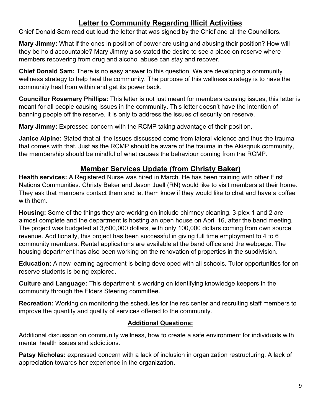# **Letter to Community Regarding Illicit Activities**

<span id="page-8-0"></span>Chief Donald Sam read out loud the letter that was signed by the Chief and all the Councillors.

**Mary Jimmy:** What if the ones in position of power are using and abusing their position? How will they be hold accountable? Mary Jimmy also stated the desire to see a place on reserve where members recovering from drug and alcohol abuse can stay and recover.

**Chief Donald Sam:** There is no easy answer to this question. We are developing a community wellness strategy to help heal the community. The purpose of this wellness strategy is to have the community heal from within and get its power back.

**Councillor Rosemary Phillips:** This letter is not just meant for members causing issues, this letter is meant for all people causing issues in the community. This letter doesn't have the intention of banning people off the reserve, it is only to address the issues of security on reserve.

**Mary Jimmy:** Expressed concern with the RCMP taking advantage of their position.

**Janice Alpine:** Stated that all the issues discussed come from lateral violence and thus the trauma that comes with that. Just as the RCMP should be aware of the trauma in the Akisqnuk community, the membership should be mindful of what causes the behaviour coming from the RCMP.

# **Member Services Update (from Christy Baker)**

<span id="page-8-1"></span>**Health services:** A Registered Nurse was hired in March. He has been training with other First Nations Communities. Christy Baker and Jason Juell (RN) would like to visit members at their home. They ask that members contact them and let them know if they would like to chat and have a coffee with them.

**Housing:** Some of the things they are working on include chimney cleaning. 3-plex 1 and 2 are almost complete and the department is hosting an open house on April 16, after the band meeting. The project was budgeted at 3,600,000 dollars, with only 100,000 dollars coming from own source revenue. Additionally, this project has been successful in giving full time employment to 4 to 6 community members. Rental applications are available at the band office and the webpage. The housing department has also been working on the renovation of properties in the subdivision.

**Education:** A new learning agreement is being developed with all schools**.** Tutor opportunities for onreserve students is being explored.

**Culture and Language:** This department is working on identifying knowledge keepers in the community through the Elders Steering committee.

**Recreation:** Working on monitoring the schedules for the rec center and recruiting staff members to improve the quantity and quality of services offered to the community.

## **Additional Questions:**

Additional discussion on community wellness, how to create a safe environment for individuals with mental health issues and addictions.

**Patsy Nicholas:** expressed concern with a lack of inclusion in organization restructuring. A lack of appreciation towards her experience in the organization.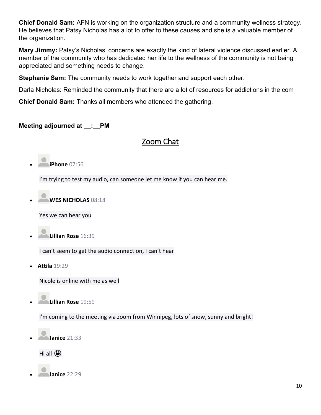**Chief Donald Sam:** AFN is working on the organization structure and a community wellness strategy. He believes that Patsy Nicholas has a lot to offer to these causes and she is a valuable member of the organization.

**Mary Jimmy:** Patsy's Nicholas' concerns are exactly the kind of lateral violence discussed earlier. A member of the community who has dedicated her life to the wellness of the community is not being appreciated and something needs to change.

**Stephanie Sam:** The community needs to work together and support each other.

Darla Nicholas: Reminded the community that there are a lot of resources for addictions in the com

**Chief Donald Sam:** Thanks all members who attended the gathering.

### <span id="page-9-0"></span>**Meeting adjourned at \_\_:\_\_PM**

## Zoom Chat

• **iPhone** 07:56

I'm trying to test my audio, can someone let me know if you can hear me.

• **WES NICHOLAS** 08:18

Yes we can hear you

• **Lillian Rose** 16:39

I can't seem to get the audio connection, I can't hear

• **Attila** 19:29

Nicole is online with me as well

• **Lillian Rose** 19:59

I'm coming to the meeting via zoom from Winnipeg, lots of snow, sunny and bright!



Hi all  $\bigodot$ 

• **Janice** 22:29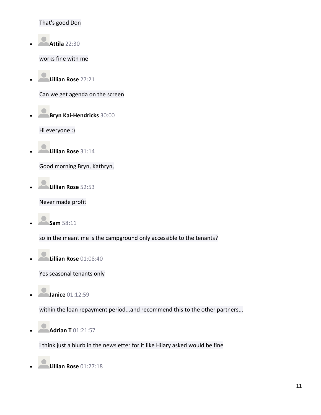#### That's good Don

• **Attila** 22:30

works fine with me

• **Lillian Rose** 27:21

Can we get agenda on the screen

• **Bryn Kai-Hendricks** 30:00

Hi everyone :)

• **Lillian Rose** 31:14

Good morning Bryn, Kathryn,

• **Lillian Rose** 52:53

Never made profit

• **Sam** 58:11

so in the meantime is the campground only accessible to the tenants?

• **Lillian Rose** 01:08:40

Yes seasonal tenants only

• **Janice** 01:12:59

within the loan repayment period...and recommend this to the other partners...

• **Adrian T** 01:21:57

i think just a blurb in the newsletter for it like Hilary asked would be fine

• **Lillian Rose** 01:27:18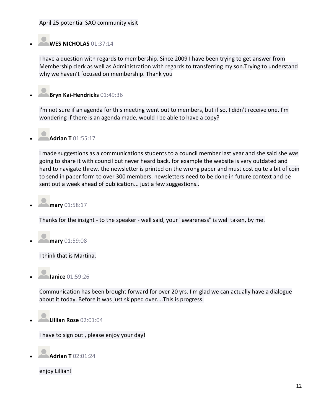#### April 25 potential SAO community visit

## • **WES NICHOLAS** 01:37:14

I have a question with regards to membership. Since 2009 I have been trying to get answer from Membership clerk as well as Administration with regards to transferring my son.Trying to understand why we haven't focused on membership. Thank you

## • **Bryn Kai-Hendricks** 01:49:36

I'm not sure if an agenda for this meeting went out to members, but if so, I didn't receive one. I'm wondering if there is an agenda made, would I be able to have a copy?

## • **Adrian T** 01:55:17

i made suggestions as a communications students to a council member last year and she said she was going to share it with council but never heard back. for example the website is very outdated and hard to navigate threw. the newsletter is printed on the wrong paper and must cost quite a bit of coin to send in paper form to over 300 members. newsletters need to be done in future context and be sent out a week ahead of publication... just a few suggestions..

• **mary** 01:58:17

Thanks for the insight - to the speaker - well said, your "awareness" is well taken, by me.

• **mary** 01:59:08

I think that is Martina.

• **Janice** 01:59:26

Communication has been brought forward for over 20 yrs. I'm glad we can actually have a dialogue about it today. Before it was just skipped over....This is progress.

• **Lillian Rose** 02:01:04

I have to sign out , please enjoy your day!

• **Adrian T** 02:01:24

enjoy Lillian!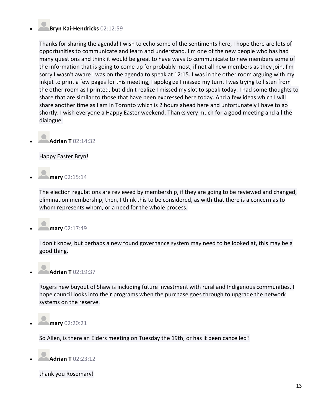### • **Bryn Kai-Hendricks** 02:12:59

Thanks for sharing the agenda! I wish to echo some of the sentiments here, I hope there are lots of opportunities to communicate and learn and understand. I'm one of the new people who has had many questions and think it would be great to have ways to communicate to new members some of the information that is going to come up for probably most, if not all new members as they join. I'm sorry I wasn't aware I was on the agenda to speak at 12:15. I was in the other room arguing with my inkjet to print a few pages for this meeting, I apologize I missed my turn. I was trying to listen from the other room as I printed, but didn't realize I missed my slot to speak today. I had some thoughts to share that are similar to those that have been expressed here today. And a few ideas which I will share another time as I am in Toronto which is 2 hours ahead here and unfortunately I have to go shortly. I wish everyone a Happy Easter weekend. Thanks very much for a good meeting and all the dialogue.



Happy Easter Bryn!

• **mary** 02:15:14

The election regulations are reviewed by membership, if they are going to be reviewed and changed, elimination membership, then, I think this to be considered, as with that there is a concern as to whom represents whom, or a need for the whole process.

## • **mary** 02:17:49

I don't know, but perhaps a new found governance system may need to be looked at, this may be a good thing.



• **Adrian T** 02:19:37

Rogers new buyout of Shaw is including future investment with rural and Indigenous communities, I hope council looks into their programs when the purchase goes through to upgrade the network systems on the reserve.

• **mary** 02:20:21

So Allen, is there an Elders meeting on Tuesday the 19th, or has it been cancelled?

• **Adrian T** 02:23:12

thank you Rosemary!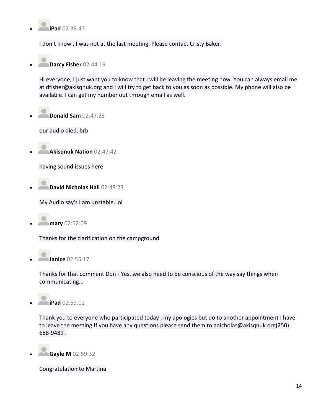

I don't know , I was not at the last meeting. Please contact Cristy Baker.



Hi everyone, I just want you to know that I will be leaving the meeting now. You can always email me at dfisher@akisqnuk.org and I will try to get back to you as soon as possible. My phone will also be available. I can get my number out through email as well.

• **Donald Sam** 02:47:23

our audio died. brb

• **Akisqnuk Nation** 02:47:42

having sound issues here

• **David Nicholas Hall** 02:48:23

My Audio say's I am unstable.Lol

• **mary** 02:52:09

Thanks for the clarification on the campground

• **Janice** 02:55:17

Thanks for that comment Don - Yes. we also need to be conscious of the way say things when communicating...

• **iPad** 02:59:02

Thank you to everyone who participated today , my apologies but do to another appointment I have to leave the meeting.If you have any questions please send them to anicholas@akisqnuk.org(250) 688-9489 .

• **Gayle M** 02:59:32

Congratulation to Martina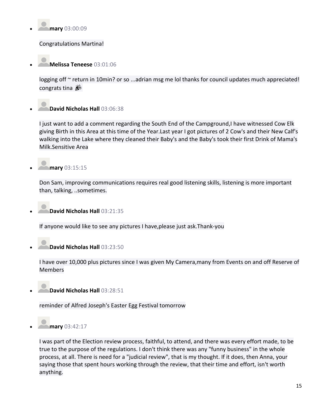

Congratulations Martina!

• **Melissa Teneese** 03:01:06

logging off ~ return in 10min? or so ...adrian msg me lol thanks for council updates much appreciated! congrats tina

# • **David Nicholas Hall** 03:06:38

I just want to add a comment regarding the South End of the Campground, I have witnessed Cow Elk giving Birth in this Area at this time of the Year.Last year I got pictures of 2 Cow's and their New Calf's walking into the Lake where they cleaned their Baby's and the Baby's took their first Drink of Mama's Milk.Sensitive Area

• **mary** 03:15:15

Don Sam, improving communications requires real good listening skills, listening is more important than, talking, ..sometimes.



• **David Nicholas Hall** 03:21:35

If anyone would like to see any pictures I have,please just ask.Thank-you

• **David Nicholas Hall** 03:23:50

I have over 10,000 plus pictures since I was given My Camera,many from Events on and off Reserve of Members

• **David Nicholas Hall** 03:28:51

reminder of Alfred Joseph's Easter Egg Festival tomorrow

• **mary** 03:42:17

I was part of the Election review process, faithful, to attend, and there was every effort made, to be true to the purpose of the regulations. I don't think there was any "funny business" in the whole process, at all. There is need for a "judicial review", that is my thought. If it does, then Anna, your saying those that spent hours working through the review, that their time and effort, isn't worth anything.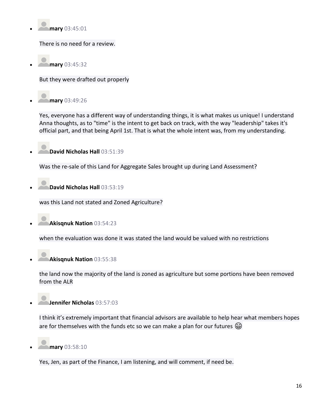

There is no need for a review.

• **mary** 03:45:32

But they were drafted out properly



Yes, everyone has a different way of understanding things, it is what makes us unique! I understand Anna thoughts, as to "time" is the intent to get back on track, with the way "leadership" takes it's official part, and that being April 1st. That is what the whole intent was, from my understanding.

• **David Nicholas Hall** 03:51:39

Was the re-sale of this Land for Aggregate Sales brought up during Land Assessment?

• **David Nicholas Hall** 03:53:19

was this Land not stated and Zoned Agriculture?

• **Akisqnuk Nation** 03:54:23

when the evaluation was done it was stated the land would be valued with no restrictions

• **Akisqnuk Nation** 03:55:38

the land now the majority of the land is zoned as agriculture but some portions have been removed from the ALR

• **Jennifer Nicholas** 03:57:03

I think it's extremely important that financial advisors are available to help hear what members hopes are for themselves with the funds etc so we can make a plan for our futures  $\bigcircled{e}$ 



Yes, Jen, as part of the Finance, I am listening, and will comment, if need be.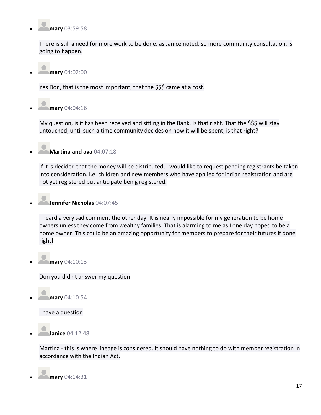

There is still a need for more work to be done, as Janice noted, so more community consultation, is going to happen.

• **mary** 04:02:00

Yes Don, that is the most important, that the \$\$\$ came at a cost.

• **mary** 04:04:16

My question, is it has been received and sitting in the Bank. Is that right. That the \$\$\$ will stay untouched, until such a time community decides on how it will be spent, is that right?

## • **Martina and ava** 04:07:18

If it is decided that the money will be distributed, I would like to request pending registrants be taken into consideration. I.e. children and new members who have applied for indian registration and are not yet registered but anticipate being registered.

### • **Jennifer Nicholas** 04:07:45

I heard a very sad comment the other day. It is nearly impossible for my generation to be home owners unless they come from wealthy families. That is alarming to me as I one day hoped to be a home owner. This could be an amazing opportunity for members to prepare for their futures if done right!

• **mary** 04:10:13

Don you didn't answer my question

• **mary** 04:10:54

I have a question



Martina - this is where lineage is considered. It should have nothing to do with member registration in accordance with the Indian Act.

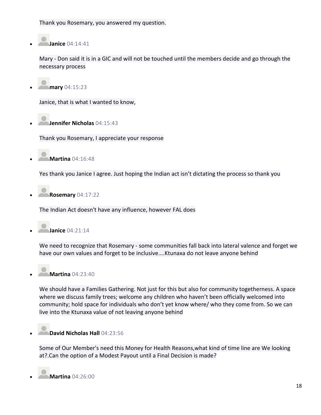Thank you Rosemary, you answered my question.

• **Janice** 04:14:41

Mary - Don said it is in a GIC and will not be touched until the members decide and go through the necessary process

• **mary** 04:15:23

Janice, that is what I wanted to know,

• **Jennifer Nicholas** 04:15:43

Thank you Rosemary, I appreciate your response

• **Martina** 04:16:48

Yes thank you Janice I agree. Just hoping the Indian act isn't dictating the process so thank you

• **Rosemary** 04:17:22

The Indian Act doesn't have any influence, however FAL does

• **Janice** 04:21:14

We need to recognize that Rosemary - some communities fall back into lateral valence and forget we have our own values and forget to be inclusive....Ktunaxa do not leave anyone behind

• **Martina** 04:23:40

We should have a Families Gathering. Not just for this but also for community togetherness. A space where we discuss family trees; welcome any children who haven't been officially welcomed into community; hold space for individuals who don't yet know where/ who they come from. So we can live into the Ktunaxa value of not leaving anyone behind

## • **David Nicholas Hall** 04:23:56

Some of Our Member's need this Money for Health Reasons,what kind of time line are We looking at?.Can the option of a Modest Payout until a Final Decision is made?

• **Martina** 04:26:00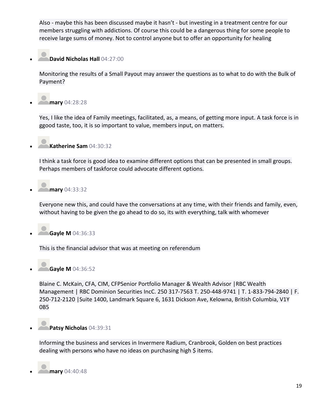Also - maybe this has been discussed maybe it hasn't - but investing in a treatment centre for our members struggling with addictions. Of course this could be a dangerous thing for some people to receive large sums of money. Not to control anyone but to offer an opportunity for healing

• **David Nicholas Hall** 04:27:00

Monitoring the results of a Small Payout may answer the questions as to what to do with the Bulk of Payment?

• **mary** 04:28:28

Yes, I like the idea of Family meetings, facilitated, as, a means, of getting more input. A task force is in ggood taste, too, it is so important to value, members input, on matters.

• **Katherine Sam** 04:30:32

I think a task force is good idea to examine different options that can be presented in small groups. Perhaps members of taskforce could advocate different options.

• **mary** 04:33:32

Everyone new this, and could have the conversations at any time, with their friends and family, even, without having to be given the go ahead to do so, its with everything, talk with whomever

• **Gayle M** 04:36:33

This is the financial advisor that was at meeting on referendum

• **Gayle M** 04:36:52

Blaine C. McKain, CFA, CIM, CFPSenior Portfolio Manager & Wealth Advisor |RBC Wealth Management | RBC Dominion Securities IncC. 250 317-7563 T. 250-448-9741 | T. 1-833-794-2840 | F. 250-712-2120 |Suite 1400, Landmark Square 6, 1631 Dickson Ave, Kelowna, British Columbia, V1Y 0B5

• **Patsy Nicholas** 04:39:31

Informing the business and services in Invermere Radium, Cranbrook, Golden on best practices dealing with persons who have no ideas on purchasing high \$ items.

• **mary** 04:40:48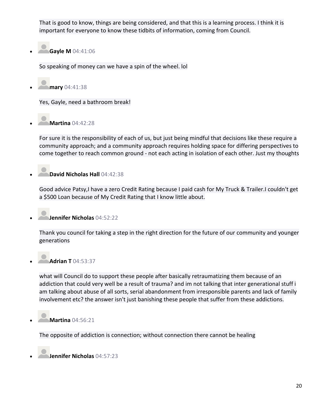That is good to know, things are being considered, and that this is a learning process. I think it is important for everyone to know these tidbits of information, coming from Council.

• **Gayle M** 04:41:06

So speaking of money can we have a spin of the wheel. lol

• **mary** 04:41:38

Yes, Gayle, need a bathroom break!

• **Martina** 04:42:28

For sure it is the responsibility of each of us, but just being mindful that decisions like these require a community approach; and a community approach requires holding space for differing perspectives to come together to reach common ground - not each acting in isolation of each other. Just my thoughts

• **David Nicholas Hall** 04:42:38

Good advice Patsy,I have a zero Credit Rating because I paid cash for My Truck & Trailer.I couldn't get a \$500 Loan because of My Credit Rating that I know little about.

• **Jennifer Nicholas** 04:52:22

Thank you council for taking a step in the right direction for the future of our community and younger generations

## • **Adrian T** 04:53:37

what will Council do to support these people after basically retraumatizing them because of an addiction that could very well be a result of trauma? and im not talking that inter generational stuff i am talking about abuse of all sorts, serial abandonment from irresponsible parents and lack of family involvement etc? the answer isn't just banishing these people that suffer from these addictions.

• **Martina** 04:56:21

The opposite of addiction is connection; without connection there cannot be healing

• **Jennifer Nicholas** 04:57:23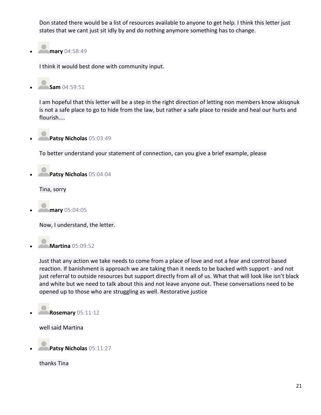Don stated there would be a list of resources available to anyone to get help. I think this letter just states that we cant just sit idly by and do nothing anymore something has to change.

• **mary** 04:58:49

I think it would best done with community input.

• **Sam** 04:59:51

I am hopeful that this letter will be a step in the right direction of letting non members know akisqnuk is not a safe place to go to hide from the law, but rather a safe place to reside and heal our hurts and flourish....

• **Patsy Nicholas** 05:03:49

To better understand your statement of connection, can you give a brief example, please



Tina, sorry

• **mary** 05:04:05

Now, I understand, the letter.



Just that any action we take needs to come from a place of love and not a fear and control based reaction. If banishment is approach we are taking than it needs to be backed with support - and not just referral to outside resources but support directly from all of us. What that will look like isn't black and white but we need to talk about this and not leave anyone out. These conversations need to be opened up to those who are struggling as well. Restorative justice



well said Martina

• **Patsy Nicholas** 05:11:27

thanks Tina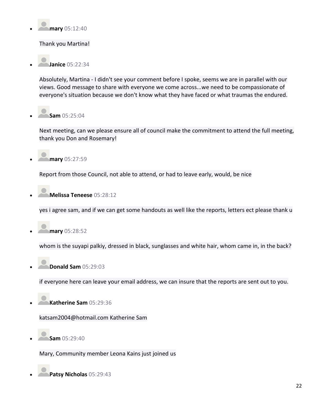

Thank you Martina!

• **Janice** 05:22:34

Absolutely, Martina - I didn't see your comment before I spoke, seems we are in parallel with our views. Good message to share with everyone we come across...we need to be compassionate of everyone's situation because we don't know what they have faced or what traumas the endured.

• **Sam** 05:25:04

Next meeting, can we please ensure all of council make the commitment to attend the full meeting, thank you Don and Rosemary!

• **mary** 05:27:59

Report from those Council, not able to attend, or had to leave early, would, be nice

• **Melissa Teneese** 05:28:12

yes i agree sam, and if we can get some handouts as well like the reports, letters ect please thank u

• **mary** 05:28:52

whom is the suyapi palkiy, dressed in black, sunglasses and white hair, whom came in, in the back?

• **Donald Sam** 05:29:03

if everyone here can leave your email address, we can insure that the reports are sent out to you.

• **Katherine Sam** 05:29:36

katsam2004@hotmail.com Katherine Sam

• **Sam** 05:29:40

Mary, Community member Leona Kains just joined us

• **Patsy Nicholas** 05:29:43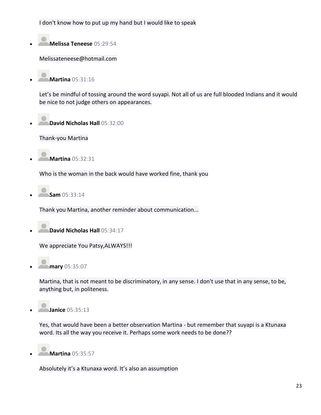I don't know how to put up my hand but I would like to speak

• **Melissa Teneese** 05:29:54

Melissateneese@hotmail.com

• **Martina** 05:31:16

Let's be mindful of tossing around the word suyapi. Not all of us are full blooded Indians and it would be nice to not judge others on appearances.

• **David Nicholas Hall** 05:32:00

Thank-you Martina

• **Martina** 05:32:31

Who is the woman in the back would have worked fine, thank you

• **Sam** 05:33:14

Thank you Martina, another reminder about communication...

• **David Nicholas Hall** 05:34:17

We appreciate You Patsy,ALWAYS!!!

• **mary** 05:35:07

Martina, that is not meant to be discriminatory, in any sense. I don't use that in any sense, to be, anything but, in politeness.



Yes, that would have been a better observation Martina - but remember that suyapi is a Ktunaxa word. Its all the way you receive it. Perhaps some work needs to be done??

• **Martina** 05:35:57

Absolutely it's a Ktunaxa word. It's also an assumption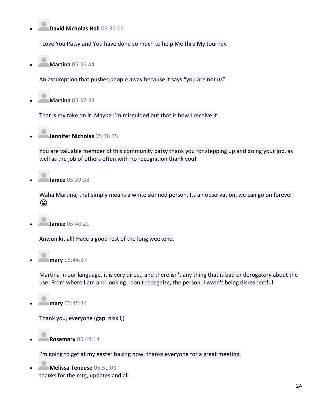## • **David Nicholas Hall** 05:36:05

I Love You Patsy and You have done so much to help Me thru My Journey

• **Martina** 05:36:44

An assumption that pushes people away because it says "you are not us"

• **Martina** 05:37:33

That is my take on it. Maybe I'm misguided but that is how I receive it

• **Jennifer Nicholas** 05:38:35

You are valuable member of this community patsy thank you for stepping up and doing your job, as well as the job of others often with no recognition thank you!

• **Janice** 05:39:38

Waha Martina, that simply means a white skinned person. Its an observation, we can go on forever. ☺

• **Janice** 05:40:21

Anwunikit all! Have a good rest of the long weekend.

• **mary** 05:44:37

Martina in our language, it is very direct, and there isn't any thing that is bad or derogatory about the use. From where I am and looking I don't recognize, the person. I wasn't being disrespectful.

• **mary** 05:45:44

Thank you, everyone (gapi niskil,)

• **Rosemary** 05:49:14

I'm going to get at my easter baking now, thanks everyone for a great meeting.

• **Melissa Teneese** 05:51:03 thanks for the mtg, updates and all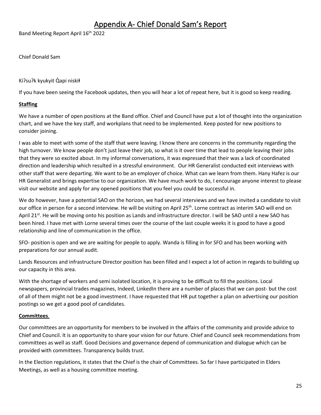# Appendix A- Chief Donald Sam's Report

<span id="page-24-0"></span>Band Meeting Report April 16<sup>th</sup> 2022

Chief Donald Sam

Ki?su?k kyukyit Qapi niskił

If you have been seeing the Facebook updates, then you will hear a lot of repeat here, but it is good so keep reading.

#### **Staffing**

We have a number of open positions at the Band office. Chief and Council have put a lot of thought into the organization chart, and we have the key staff, and workplans that need to be implemented. Keep posted for new positions to consider joining.

I was able to meet with some of the staff that were leaving. I know there are concerns in the community regarding the high turnover. We know people don't just leave their job, so what is it over time that lead to people leaving their jobs that they were so excited about. In my informal conversations, it was expressed that their was a lack of coordinated direction and leadership which resulted in a stressful environment. Our HR Generalist conducted exit interviews with other staff that were departing. We want to be an employer of choice. What can we learn from them. Hany Hafez is our HR Generalist and brings expertise to our organization. We have much work to do, I encourage anyone interest to please visit our website and apply for any opened positions that you feel you could be successful in.

We do however, have a potential SAO on the horizon, we had several interviews and we have invited a candidate to visit our office in person for a second interview. He will be visiting on April 25<sup>th</sup>. Lorne contract as interim SAO will end on April 21<sup>st</sup>. He will be moving onto his position as Lands and infrastructure director. I will be SAO until a new SAO has been hired. I have met with Lorne several times over the course of the last couple weeks it is good to have a good relationship and line of communication in the office.

SFO- position is open and we are waiting for people to apply. Wanda is filling in for SFO and has been working with preparations for our annual audit.

Lands Resources and infrastructure Director position has been filled and I expect a lot of action in regards to building up our capacity in this area.

With the shortage of workers and semi isolated location, it is proving to be difficult to fill the positions. Local newspapers, provincial trades magazines, Indeed, LinkedIn there are a number of places that we can post- but the cost of all of them might not be a good investment. I have requested that HR put together a plan on advertising our position postings so we get a good pool of candidates.

#### **Committees**.

Our committees are an opportunity for members to be involved in the affairs of the community and provide advice to Chief and Council. It is an opportunity to share your vision for our future. Chief and Council seek recommendations from committees as well as staff. Good Decisions and governance depend of communication and dialogue which can be provided with committees. Transparency builds trust.

In the Election regulations, it states that the Chief is the chair of Committees. So far I have participated in Elders Meetings, as well as a housing committee meeting.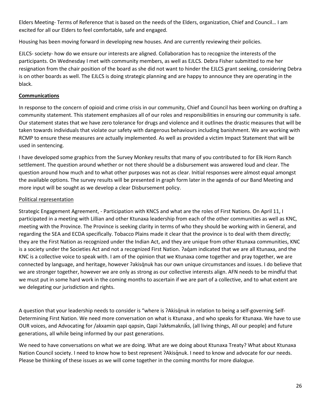Elders Meeting- Terms of Reference that is based on the needs of the Elders, organization, Chief and Council… I am excited for all our Elders to feel comfortable, safe and engaged.

Housing has been moving forward in developing new houses. And are currently reviewing their policies.

EJLCS- society- how do we ensure our interests are aligned. Collaboration has to recognize the interests of the participants. On Wednesday I met with community members, as well as EJLCS. Debra Fisher submitted to me her resignation from the chair position of the board as she did not want to hinder the EJLCS grant seeking, considering Debra is on other boards as well. The EJLCS is doing strategic planning and are happy to announce they are operating in the black.

#### **Communications**

In response to the concern of opioid and crime crisis in our community, Chief and Council has been working on drafting a community statement. This statement emphasizes all of our roles and responsibilities in ensuring our community is safe. Our statement states that we have zero tolerance for drugs and violence and it outlines the drastic measures that will be taken towards individuals that violate our safety with dangerous behaviours including banishment. We are working with RCMP to ensure these measures are actually implemented. As well as provided a victim Impact Statement that will be used in sentencing.

I have developed some graphics from the Survey Monkey results that many of you contributed to for Elk Horn Ranch settlement. The question around whether or not there should be a disbursement was answered loud and clear. The question around how much and to what other purposes was not as clear. Initial responses were almost equal amongst the available options. The survey results will be presented in graph form later in the agenda of our Band Meeting and more input will be sought as we develop a clear Disbursement policy.

#### Political representation

Strategic Engagement Agreement, - Participation with KNCS and what are the roles of First Nations. On April 11, I participated in a meeting with Lillian and other Ktunaxa leadership from each of the other communities as well as KNC, meeting with the Province. The Province is seeking clarity in terms of who they should be working with in General, and regarding the SEA and ECDA specifically. Tobacco Plains made it clear that the province is to deal with them directly; they are the First Nation as recognized under the Indian Act, and they are unique from other Ktunaxa communities, KNC is a society under the Societies Act and not a recognized First Nation. ʔaq̓am indicated that we are all Ktunaxa, and the KNC is a collective voice to speak with. I am of the opinion that we Ktunaxa come together and pray together, we are connected by language, and heritage, however ʔakisq̓nuk has our own unique circumstances and issues. I do believe that we are stronger together, however we are only as strong as our collective interests align. AFN needs to be mindful that we must put in some hard work in the coming months to ascertain if we are part of a collective, and to what extent are we delegating our jurisdiction and rights.

A question that your leadership needs to consider is "where is ?Akisq'nuk in relation to being a self-governing Self-Determining First Nation. We need more conversation on what is Ktunaxa , and who speaks for Ktunaxa. We have to use OUR voices, and Advocating for /akxamin qapi qapsin, Qapi ʔakłsmakniks, (all living things, All our people) and future generations, all while being informed by our past generations.

We need to have conversations on what we are doing. What are we doing about Ktunaxa Treaty? What about Ktunaxa Nation Council society. I need to know how to best represent ?Akisqnuk. I need to know and advocate for our needs. Please be thinking of these issues as we will come together in the coming months for more dialogue.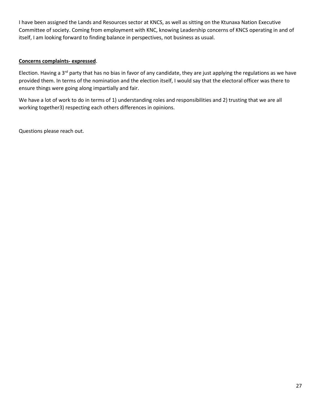I have been assigned the Lands and Resources sector at KNCS, as well as sitting on the Ktunaxa Nation Executive Committee of society. Coming from employment with KNC, knowing Leadership concerns of KNCS operating in and of itself, I am looking forward to finding balance in perspectives, not business as usual.

#### **Concerns complaints- expressed**.

Election. Having a 3<sup>rd</sup> party that has no bias in favor of any candidate, they are just applying the regulations as we have provided them. In terms of the nomination and the election itself, I would say that the electoral officer was there to ensure things were going along impartially and fair.

We have a lot of work to do in terms of 1) understanding roles and responsibilities and 2) trusting that we are all working together3) respecting each others differences in opinions.

Questions please reach out.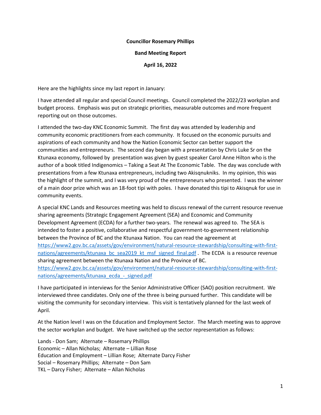#### **Councillor Rosemary Phillips**

#### **Band Meeting Report**

#### **April 16, 2022**

Here are the highlights since my last report in January:

I have attended all regular and special Council meetings. Council completed the 2022/23 workplan and budget process. Emphasis was put on strategic priorities, measurable outcomes and more frequent reporting out on those outcomes.

I attended the two-day KNC Economic Summit. The first day was attended by leadership and community economic practitioners from each community. It focused on the economic pursuits and aspirations of each community and how the Nation Economic Sector can better support the communities and entrepreneurs. The second day began with a presentation by Chris Luke Sr on the Ktunaxa economy, followed by presentation was given by guest speaker Carol Anne Hilton who is the author of a book titled Indigenomics – Taking a Seat At The Economic Table. The day was conclude with presentations from a few Ktunaxa entrepreneurs, including two Akisqnukniks. In my opinion, this was the highlight of the summit, and I was very proud of the entrepreneurs who presented. I was the winner of a main door prize which was an 18-foot tipi with poles. I have donated this tipi to Akisqnuk for use in community events.

A special KNC Lands and Resources meeting was held to discuss renewal of the current resource revenue sharing agreements (Strategic Engagement Agreement (SEA) and Economic and Community Development Agreement (ECDA) for a further two-years. The renewal was agreed to. The SEA is intended to foster a positive, collaborative and respectful government-to-government relationship between the Province of BC and the Ktunaxa Nation. You can read the agreement at [https://www2.gov.bc.ca/assets/gov/environment/natural-resource-stewardship/consulting-with-first](https://www2.gov.bc.ca/assets/gov/environment/natural-resource-stewardship/consulting-with-first-nations/agreements/ktunaxa_bc_sea2019_kt_msf_signed_final.pdf)[nations/agreements/ktunaxa\\_bc\\_sea2019\\_kt\\_msf\\_signed\\_final.pdf](https://www2.gov.bc.ca/assets/gov/environment/natural-resource-stewardship/consulting-with-first-nations/agreements/ktunaxa_bc_sea2019_kt_msf_signed_final.pdf) . The ECDA is a resource revenue sharing agreement between the Ktunaxa Nation and the Province of BC. [https://www2.gov.bc.ca/assets/gov/environment/natural-resource-stewardship/consulting-with-first](https://www2.gov.bc.ca/assets/gov/environment/natural-resource-stewardship/consulting-with-first-nations/agreements/ktunaxa_ecda_-_signed.pdf)[nations/agreements/ktunaxa\\_ecda\\_-\\_signed.pdf](https://www2.gov.bc.ca/assets/gov/environment/natural-resource-stewardship/consulting-with-first-nations/agreements/ktunaxa_ecda_-_signed.pdf)

I have participated in interviews for the Senior Administrative Officer (SAO) position recruitment. We interviewed three candidates. Only one of the three is being pursued further. This candidate will be visiting the community for secondary interview. This visit is tentatively planned for the last week of April.

At the Nation level I was on the Education and Employment Sector. The March meeting was to approve the sector workplan and budget. We have switched up the sector representation as follows:

Lands - Don Sam; Alternate – Rosemary Phillips Economic – Allan Nicholas; Alternate – Lillian Rose Education and Employment – Lillian Rose; Alternate Darcy Fisher Social – Rosemary Phillips; Alternate – Don Sam TKL – Darcy Fisher; Alternate – Allan Nicholas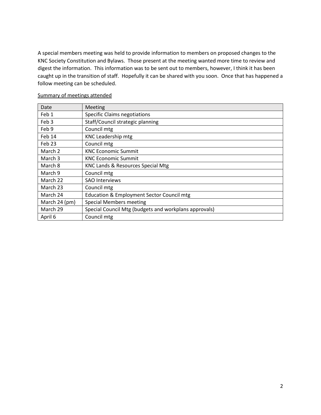A special members meeting was held to provide information to members on proposed changes to the KNC Society Constitution and Bylaws. Those present at the meeting wanted more time to review and digest the information. This information was to be sent out to members, however, I think it has been caught up in the transition of staff. Hopefully it can be shared with you soon. Once that has happened a follow meeting can be scheduled.

| Date             | Meeting                                               |
|------------------|-------------------------------------------------------|
| Feb 1            | <b>Specific Claims negotiations</b>                   |
| Feb <sub>3</sub> | Staff/Council strategic planning                      |
| Feb 9            | Council mtg                                           |
| Feb 14           | KNC Leadership mtg                                    |
| Feb 23           | Council mtg                                           |
| March 2          | <b>KNC Economic Summit</b>                            |
| March 3          | <b>KNC Economic Summit</b>                            |
| March 8          | KNC Lands & Resources Special Mtg                     |
| March 9          | Council mtg                                           |
| March 22         | <b>SAO Interviews</b>                                 |
| March 23         | Council mtg                                           |
| March 24         | <b>Education &amp; Employment Sector Council mtg</b>  |
| March 24 (pm)    | <b>Special Members meeting</b>                        |
| March 29         | Special Council Mtg (budgets and workplans approvals) |
| April 6          | Council mtg                                           |

#### Summary of meetings attended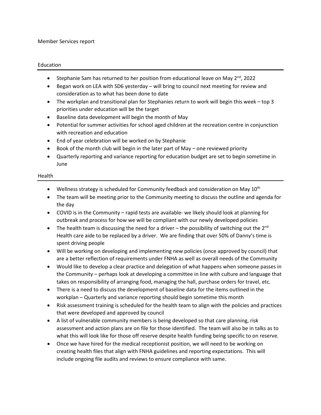#### Member Services report

#### Education

- Stephanie Sam has returned to her position from educational leave on May  $2^{nd}$ , 2022
- Began work on LEA with SD6 yesterday will bring to council next meeting for review and consideration as to what has been done to date
- The workplan and transitional plan for Stephanies return to work will begin this week top 3 priorities under education will be the target
- Baseline data development will begin the month of May
- Potential for summer activities for school aged children at the recreation centre in conjunction with recreation and education
- End of year celebration will be worked on by Stephanie
- Book of the month club will begin in the later part of May one reviewed priority
- Quarterly reporting and variance reporting for education budget are set to begin sometime in June

#### Health

- Wellness strategy is scheduled for Community feedback and consideration on May  $10^{th}$
- The team will be meeting prior to the Community meeting to discuss the outline and agenda for the day
- COVID is in the Community rapid tests are available- we likely should look at planning for outbreak and process for how we will be compliant with our newly developed policies
- The health team is discussing the need for a driver the possibility of switching out the 2<sup>nd</sup> Health care aide to be replaced by a driver. We are finding that over 50% of Danny's time is spent driving people
- Will be working on developing and implementing new policies (once approved by council) that are a better reflection of requirements under FNHA as well as overall needs of the Community
- Would like to develop a clear practice and delegation of what happens when someone passes in the Community – perhaps look at developing a committee in line with culture and language that takes on responsibility of arranging food, managing the hall, purchase orders for travel, etc.
- There is a need to discuss the development of baseline data for the items outlined in the workplan – Quarterly and variance reporting should begin sometime this month
- Risk assessment training is scheduled for the health team to align with the policies and practices that were developed and approved by council
- A list of vulnerable community members is being developed so that care planning, risk assessment and action plans are on file for those identified. The team will also be in talks as to what this will look like for those off reserve despite health funding being specific to on reserve.
- Once we have hired for the medical receptionist position, we will need to be working on creating health files that align with FNHA guidelines and reporting expectations. This will include ongoing file audits and reviews to ensure compliance with same.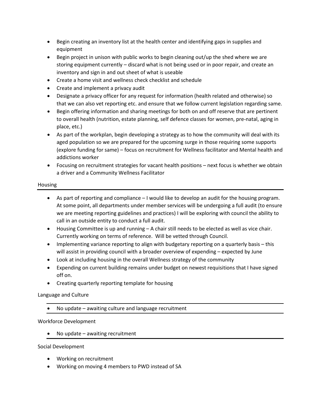- Begin creating an inventory list at the health center and identifying gaps in supplies and equipment
- Begin project in unison with public works to begin cleaning out/up the shed where we are storing equipment currently – discard what is not being used or in poor repair, and create an inventory and sign in and out sheet of what is useable
- Create a home visit and wellness check checklist and schedule
- Create and implement a privacy audit
- Designate a privacy officer for any request for information (health related and otherwise) so that we can also vet reporting etc. and ensure that we follow current legislation regarding same.
- Begin offering information and sharing meetings for both on and off reserve that are pertinent to overall health (nutrition, estate planning, self defence classes for women, pre-natal, aging in place, etc.)
- As part of the workplan, begin developing a strategy as to how the community will deal with its aged population so we are prepared for the upcoming surge in those requiring some supports (explore funding for same) – focus on recruitment for Wellness facilitator and Mental health and addictions worker
- Focusing on recruitment strategies for vacant health positions next focus is whether we obtain a driver and a Community Wellness Facilitator

#### Housing

- As part of reporting and compliance I would like to develop an audit for the housing program. At some point, all departments under member services will be undergoing a full audit (to ensure we are meeting reporting guidelines and practices) I will be exploring with council the ability to call in an outside entity to conduct a full audit.
- Housing Committee is up and running A chair still needs to be elected as well as vice chair. Currently working on terms of reference. Will be vetted through Council.
- Implementing variance reporting to align with budgetary reporting on a quarterly basis this will assist in providing council with a broader overview of expending – expected by June
- Look at including housing in the overall Wellness strategy of the community
- Expending on current building remains under budget on newest requisitions that I have signed off on.
- Creating quarterly reporting template for housing

#### Language and Culture

• No update – awaiting culture and language recruitment

#### Workforce Development

No update  $-$  awaiting recruitment

Social Development

- Working on recruitment
- Working on moving 4 members to PWD instead of SA